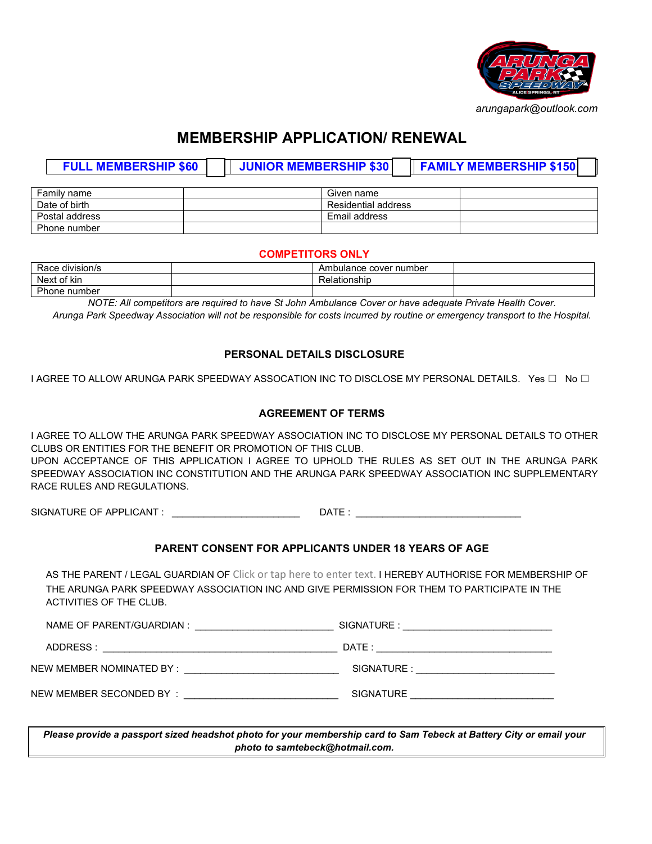

# **MEMBERSHIP APPLICATION/ RENEWAL**

| <b>FULL MEMBERSHIP \$60</b> | <b>JUNIOR MEMBERSHIP \$30</b> |                     | <b>FAMILY MEMBERSHIP \$150</b> |
|-----------------------------|-------------------------------|---------------------|--------------------------------|
|                             |                               |                     |                                |
| Family name                 |                               | Given name          |                                |
| Date of birth               |                               | Residential address |                                |
| Postal address              |                               | Email address       |                                |
| Phone number                |                               |                     |                                |

#### **COMPETITORS ONLY**

| Race division/s     | ∶number<br>cover<br>Ambulance |  |
|---------------------|-------------------------------|--|
| .<br>Next<br>of kin | Relationship                  |  |
| Phone number        |                               |  |

*NOTE: All competitors are required to have St John Ambulance Cover or have adequate Private Health Cover. Arunga Park Speedway Association will not be responsible for costs incurred by routine or emergency transport to the Hospital.*

#### **PERSONAL DETAILS DISCLOSURE**

I AGREE TO ALLOW ARUNGA PARK SPEEDWAY ASSOCATION INC TO DISCLOSE MY PERSONAL DETAILS. Yes ☐ No ☐

#### **AGREEMENT OF TERMS**

I AGREE TO ALLOW THE ARUNGA PARK SPEEDWAY ASSOCIATION INC TO DISCLOSE MY PERSONAL DETAILS TO OTHER CLUBS OR ENTITIES FOR THE BENEFIT OR PROMOTION OF THIS CLUB. UPON ACCEPTANCE OF THIS APPLICATION I AGREE TO UPHOLD THE RULES AS SET OUT IN THE ARUNGA PARK

SPEEDWAY ASSOCIATION INC CONSTITUTION AND THE ARUNGA PARK SPEEDWAY ASSOCIATION INC SUPPLEMENTARY RACE RULES AND REGULATIONS.

SIGNATURE OF APPLICANT : \_\_\_\_\_\_\_\_\_\_\_\_\_\_\_\_\_\_\_\_\_\_\_\_ DATE : \_\_\_\_\_\_\_\_\_\_\_\_\_\_\_\_\_\_\_\_\_\_\_\_\_\_\_\_\_\_\_

## **PARENT CONSENT FOR APPLICANTS UNDER 18 YEARS OF AGE**

AS THE PARENT / LEGAL GUARDIAN OF Click or tap here to enter text. I HEREBY AUTHORISE FOR MEMBERSHIP OF THE ARUNGA PARK SPEEDWAY ASSOCIATION INC AND GIVE PERMISSION FOR THEM TO PARTICIPATE IN THE ACTIVITIES OF THE CLUB.

| NAME OF PARENT/GUARDIAN | ⊣NΑ<br>šΚ۰ |
|-------------------------|------------|
|-------------------------|------------|

ADDRESS : \_\_\_\_\_\_\_\_\_\_\_\_\_\_\_\_\_\_\_\_\_\_\_\_\_\_\_\_\_\_\_\_\_\_\_\_\_\_\_\_\_\_\_\_ DATE : \_\_\_\_\_\_\_\_\_\_\_\_\_\_\_\_\_\_\_\_\_\_\_\_\_\_\_\_\_\_\_\_\_

NEW MEMBER NOMINATED BY : \_\_\_\_\_\_\_\_\_\_\_\_\_\_\_\_\_\_\_\_\_\_\_\_\_\_\_\_\_ SIGNATURE : \_\_\_\_\_\_\_\_\_\_\_\_\_\_\_\_\_\_\_\_\_\_\_\_\_\_

NEW MEMBER SECONDED BY : \_\_\_\_\_\_\_\_\_\_\_\_\_\_\_\_\_\_\_\_\_\_\_\_\_\_\_\_\_ SIGNATURE \_\_\_\_\_\_\_\_\_\_\_\_\_\_\_\_\_\_\_\_\_\_\_\_\_\_\_

*Please provide a passport sized headshot photo for your membership card to Sam Tebeck at Battery City or email your photo to samtebeck@hotmail.com.*